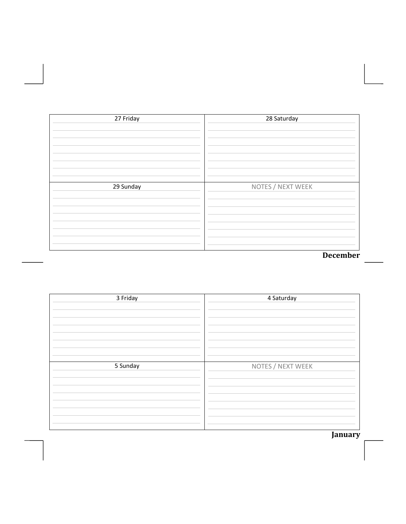| 27 Friday | 28 Saturday       |
|-----------|-------------------|
|           |                   |
|           |                   |
|           |                   |
|           |                   |
|           |                   |
|           |                   |
| 29 Sunday | NOTES / NEXT WEEK |
|           |                   |
|           |                   |
|           |                   |
|           |                   |
|           |                   |
|           |                   |
|           | December          |

| 3 Friday | 4 Saturday        |
|----------|-------------------|
| 5 Sunday | NOTES / NEXT WEEK |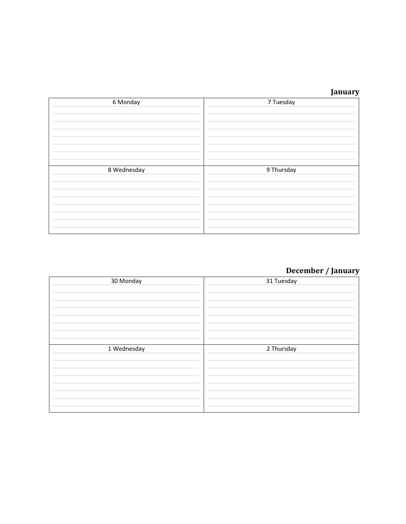| 6 Monday    | 7 Tuesday  |
|-------------|------------|
| 8 Wednesday | 9 Thursday |

# **December / January**

| 30 Monday   | 31 Tuesday |
|-------------|------------|
| 1 Wednesday | 2 Thursday |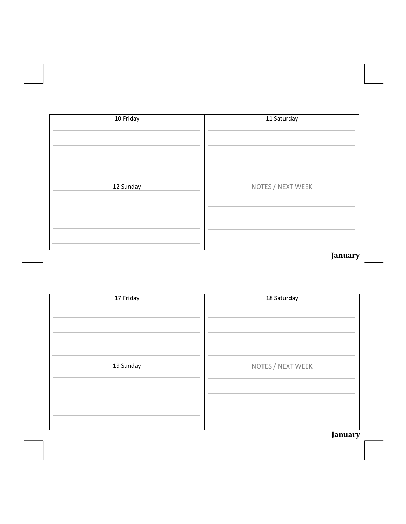| 10 Friday | 11 Saturday       |
|-----------|-------------------|
|           |                   |
|           |                   |
|           |                   |
|           |                   |
|           |                   |
|           |                   |
|           |                   |
|           |                   |
|           |                   |
|           |                   |
| 12 Sunday | NOTES / NEXT WEEK |
|           |                   |
|           |                   |
|           |                   |
|           |                   |
|           |                   |
|           |                   |
|           |                   |
|           |                   |
|           |                   |
|           |                   |
|           | January           |

| 17 Friday | 18 Saturday       |
|-----------|-------------------|
| 19 Sunday | NOTES / NEXT WEEK |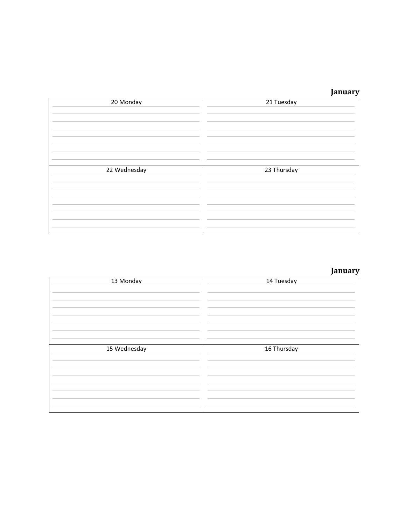| 20 Monday    | 21 Tuesday  |
|--------------|-------------|
| 22 Wednesday | 23 Thursday |

# **January**

| 13 Monday    | 14 Tuesday  |
|--------------|-------------|
| 15 Wednesday | 16 Thursday |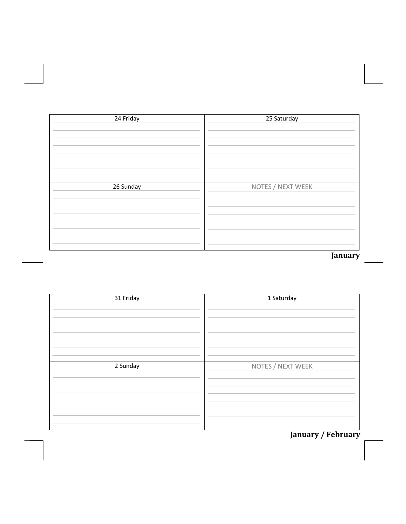| 24 Friday | 25 Saturday       |
|-----------|-------------------|
|           |                   |
|           |                   |
|           |                   |
|           |                   |
|           |                   |
|           |                   |
| 26 Sunday | NOTES / NEXT WEEK |
|           |                   |
|           |                   |
|           |                   |
|           |                   |
|           |                   |
|           |                   |
|           |                   |
|           | January           |

| 31 Friday | 1 Saturday        |
|-----------|-------------------|
| 2 Sunday  | NOTES / NEXT WEEK |

**January / February**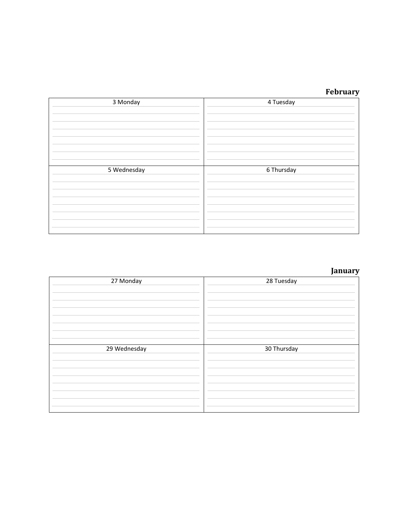#### **February**

| 3 Monday    | 4 Tuesday  |
|-------------|------------|
| 5 Wednesday | 6 Thursday |

# **January**

| 27 Monday    | 28 Tuesday  |
|--------------|-------------|
| 29 Wednesday | 30 Thursday |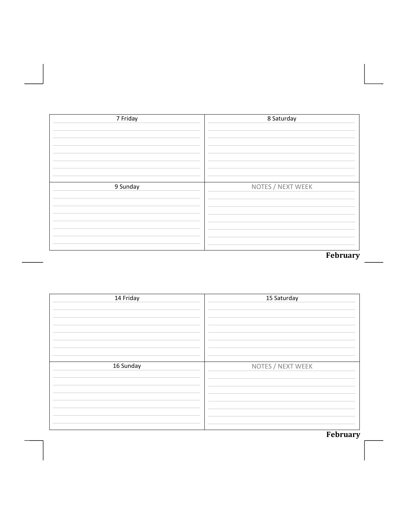| 7 Friday | 8 Saturday        |
|----------|-------------------|
|          |                   |
|          |                   |
|          |                   |
|          |                   |
|          |                   |
|          |                   |
|          |                   |
|          |                   |
| 9 Sunday | NOTES / NEXT WEEK |
|          |                   |
|          |                   |
|          |                   |
|          |                   |
|          |                   |
|          |                   |
|          |                   |
|          |                   |
|          |                   |
|          | February          |

| 14 Friday | 15 Saturday       |
|-----------|-------------------|
| 16 Sunday | NOTES / NEXT WEEK |

**February**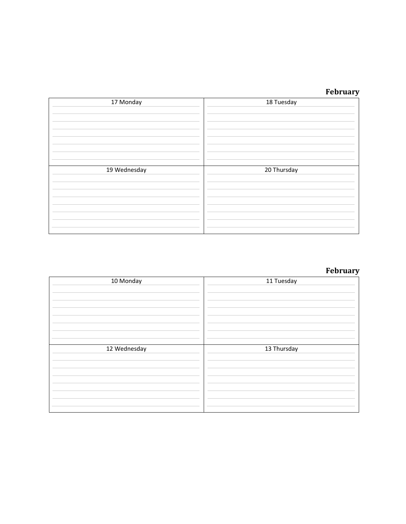#### **February**

| 17 Monday    | 18 Tuesday  |
|--------------|-------------|
| 19 Wednesday | 20 Thursday |

## **February**

| 10 Monday    | 11 Tuesday  |
|--------------|-------------|
| 12 Wednesday | 13 Thursday |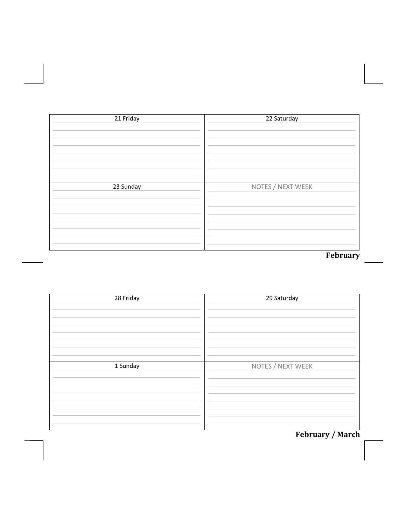| 21 Friday | 22 Saturday       |
|-----------|-------------------|
|           |                   |
|           |                   |
|           |                   |
|           |                   |
|           |                   |
| 23 Sunday | NOTES / NEXT WEEK |
|           |                   |
|           |                   |
|           |                   |
|           |                   |
|           |                   |
|           | February          |

| 28 Friday | 29 Saturday       |
|-----------|-------------------|
| 1 Sunday  | NOTES / NEXT WEEK |

# **February** / March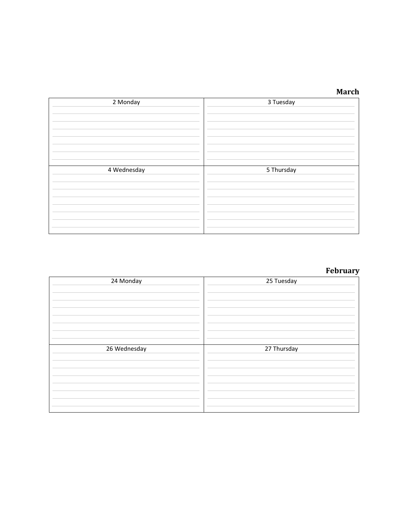| 2 Monday    | 3 Tuesday  |
|-------------|------------|
| 4 Wednesday | 5 Thursday |

# **February**

| 24 Monday    | 25 Tuesday  |
|--------------|-------------|
| 26 Wednesday | 27 Thursday |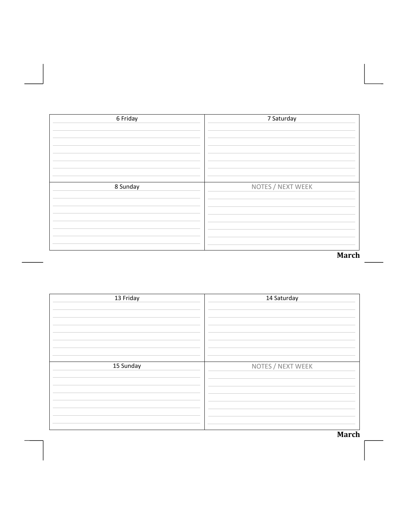| 6 Friday | 7 Saturday        |
|----------|-------------------|
|          |                   |
|          |                   |
|          |                   |
|          |                   |
|          |                   |
|          |                   |
| 8 Sunday | NOTES / NEXT WEEK |
|          |                   |
|          |                   |
|          |                   |
|          |                   |
|          |                   |
|          | <b>March</b>      |

| 13 Friday | 14 Saturday       |
|-----------|-------------------|
| 15 Sunday | NOTES / NEXT WEEK |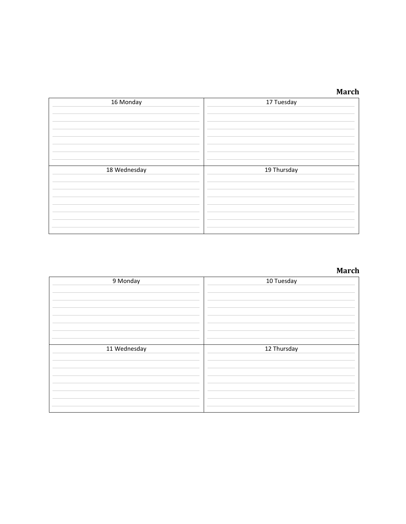| 16 Monday    | 17 Tuesday  |
|--------------|-------------|
| 18 Wednesday | 19 Thursday |

| 9 Monday     | 10 Tuesday  |
|--------------|-------------|
| 11 Wednesday | 12 Thursday |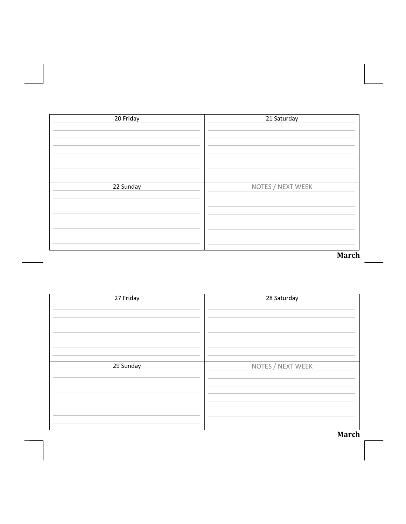| 20 Friday | 21 Saturday       |
|-----------|-------------------|
|           |                   |
|           |                   |
|           |                   |
|           |                   |
|           |                   |
|           |                   |
| 22 Sunday | NOTES / NEXT WEEK |
|           |                   |
|           |                   |
|           |                   |
|           |                   |
|           |                   |
|           |                   |
|           |                   |
|           | <b>March</b>      |

| 27 Friday | 28 Saturday       |
|-----------|-------------------|
| 29 Sunday | NOTES / NEXT WEEK |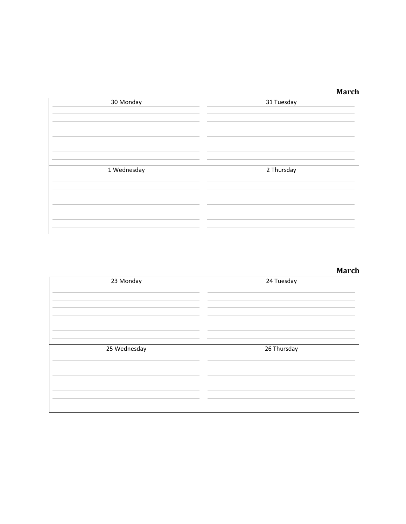| 30 Monday   | 31 Tuesday |
|-------------|------------|
| 1 Wednesday | 2 Thursday |

| 23 Monday    | 24 Tuesday  |
|--------------|-------------|
| 25 Wednesday | 26 Thursday |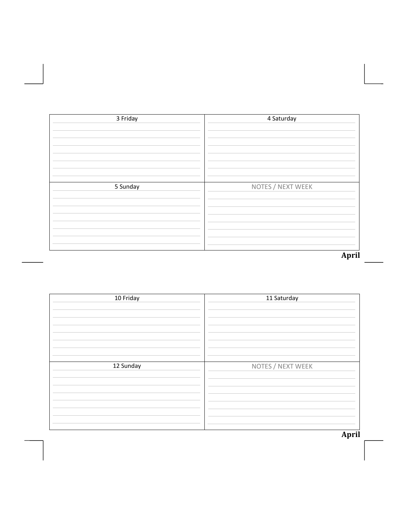| 3 Friday | 4 Saturday        |
|----------|-------------------|
|          |                   |
|          |                   |
|          |                   |
|          |                   |
|          |                   |
|          |                   |
| 5 Sunday | NOTES / NEXT WEEK |
|          |                   |
|          |                   |
|          |                   |
|          |                   |
|          |                   |
|          |                   |
|          |                   |
|          | April             |

| 10 Friday | 11 Saturday       |
|-----------|-------------------|
| 12 Sunday | NOTES / NEXT WEEK |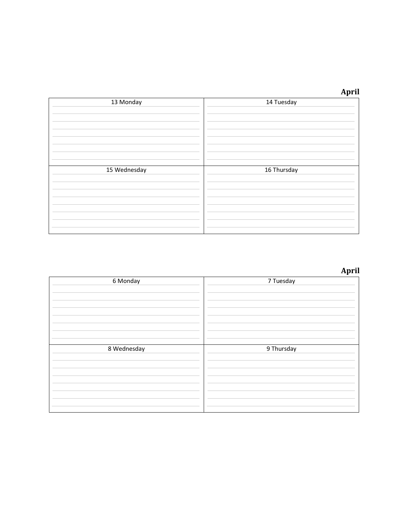| 13 Monday    | 14 Tuesday  |
|--------------|-------------|
| 15 Wednesday | 16 Thursday |

| 6 Monday    | 7 Tuesday  |
|-------------|------------|
| 8 Wednesday | 9 Thursday |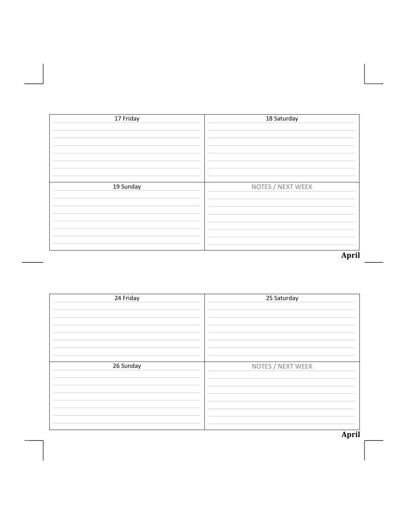| 17 Friday | 18 Saturday       |
|-----------|-------------------|
|           |                   |
|           |                   |
|           |                   |
|           |                   |
|           |                   |
|           |                   |
|           |                   |
|           |                   |
| 19 Sunday | NOTES / NEXT WEEK |
|           |                   |
|           |                   |
|           |                   |
|           |                   |
|           |                   |
|           |                   |
|           |                   |
|           | April             |
|           |                   |

| 24 Friday | 25 Saturday       |
|-----------|-------------------|
| 26 Sunday | NOTES / NEXT WEEK |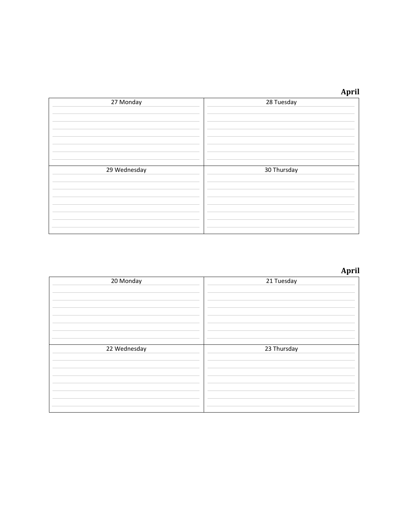|              | April       |
|--------------|-------------|
| 27 Monday    | 28 Tuesday  |
|              |             |
|              |             |
|              |             |
|              |             |
|              |             |
|              |             |
| 29 Wednesday | 30 Thursday |
|              |             |
|              |             |
|              |             |
|              |             |
|              |             |
|              |             |

| 20 Monday    | 21 Tuesday  |
|--------------|-------------|
| 22 Wednesday | 23 Thursday |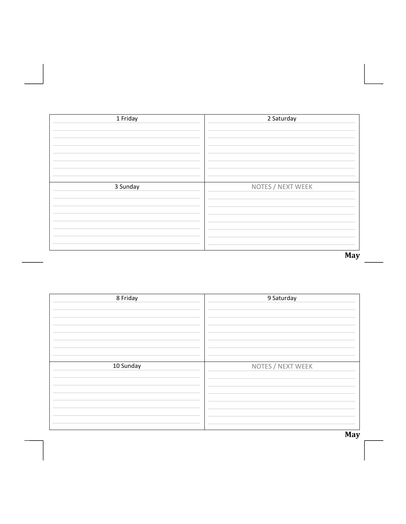| 1 Friday | 2 Saturday        |
|----------|-------------------|
|          |                   |
|          |                   |
|          |                   |
|          |                   |
|          |                   |
|          |                   |
|          |                   |
|          |                   |
| 3 Sunday |                   |
|          | NOTES / NEXT WEEK |
|          |                   |
|          |                   |
|          |                   |
|          |                   |
|          |                   |
|          |                   |
|          |                   |
|          |                   |
|          | May               |

| 8 Friday  | 9 Saturday        |
|-----------|-------------------|
| 10 Sunday | NOTES / NEXT WEEK |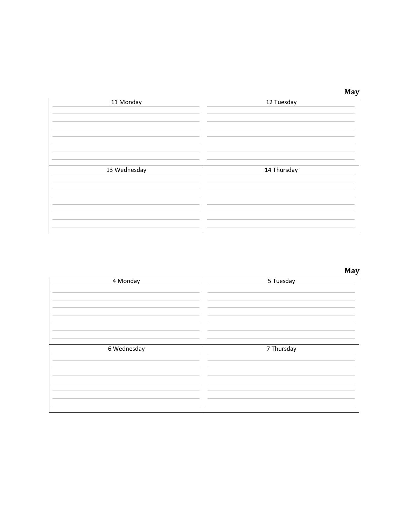| ۰. |  |
|----|--|

|              | <b>May</b>  |
|--------------|-------------|
| 11 Monday    | 12 Tuesday  |
|              |             |
|              |             |
|              |             |
|              |             |
|              |             |
|              |             |
|              |             |
| 13 Wednesday | 14 Thursday |
|              |             |
|              |             |
|              |             |
|              |             |
|              |             |
|              |             |
|              |             |

| 4 Monday    | 5 Tuesday  |
|-------------|------------|
| 6 Wednesday | 7 Thursday |
|             |            |
|             |            |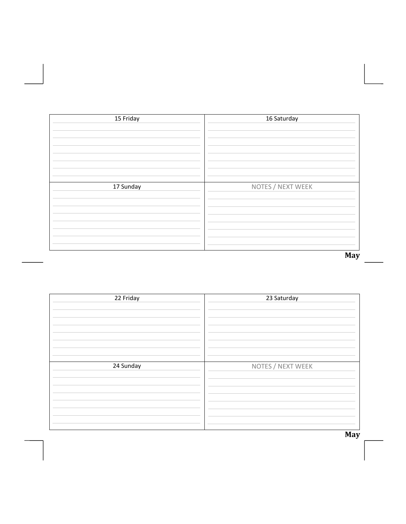| 15 Friday | 16 Saturday       |
|-----------|-------------------|
|           |                   |
|           |                   |
|           |                   |
|           |                   |
|           |                   |
|           |                   |
|           |                   |
|           |                   |
| 17 Sunday | NOTES / NEXT WEEK |
|           |                   |
|           |                   |
|           |                   |
|           |                   |
|           |                   |
|           |                   |
|           |                   |
|           | May               |

| 22 Friday | 23 Saturday       |
|-----------|-------------------|
| 24 Sunday | NOTES / NEXT WEEK |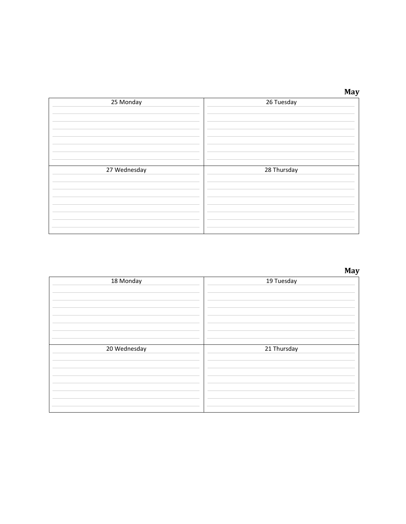| ۰. |  |
|----|--|

|              | <b>May</b>  |
|--------------|-------------|
| 25 Monday    | 26 Tuesday  |
|              |             |
|              |             |
|              |             |
|              |             |
|              |             |
|              |             |
|              |             |
| 27 Wednesday | 28 Thursday |
|              |             |
|              |             |
|              |             |
|              |             |
|              |             |
|              |             |
|              |             |

| 18 Monday    | 19 Tuesday  |
|--------------|-------------|
|              |             |
|              |             |
| 20 Wednesday | 21 Thursday |
|              |             |
|              |             |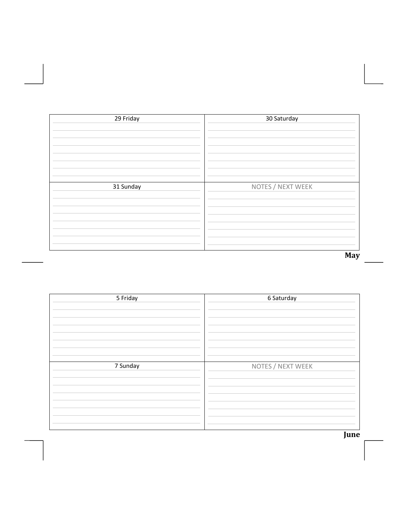| 29 Friday | 30 Saturday       |
|-----------|-------------------|
|           |                   |
|           |                   |
|           |                   |
|           |                   |
|           |                   |
|           |                   |
|           |                   |
|           |                   |
|           |                   |
| 31 Sunday | NOTES / NEXT WEEK |
|           |                   |
|           |                   |
|           |                   |
|           |                   |
|           |                   |
|           |                   |
|           |                   |
|           |                   |
|           |                   |
|           | May               |

| 5 Friday | 6 Saturday        |
|----------|-------------------|
| 7 Sunday | NOTES / NEXT WEEK |

**June**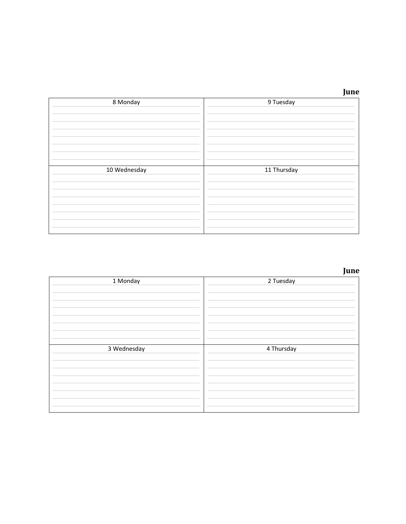|              | June        |
|--------------|-------------|
| 8 Monday     | 9 Tuesday   |
|              |             |
|              |             |
|              |             |
|              |             |
|              |             |
|              |             |
|              |             |
| 10 Wednesday | 11 Thursday |
|              |             |
|              |             |
|              |             |
|              |             |
|              |             |
|              |             |
|              |             |

#### *June June*

| 1 Monday    | 2 Tuesday  |
|-------------|------------|
| 3 Wednesday | 4 Thursday |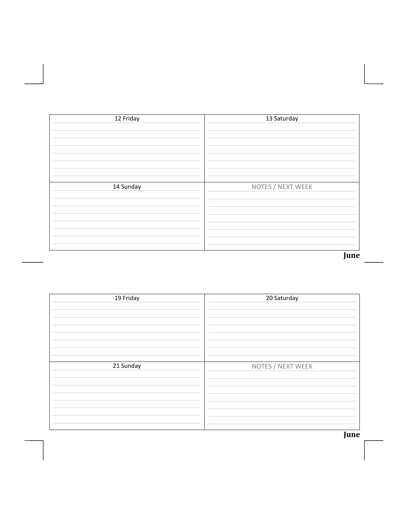| 12 Friday | 13 Saturday       |
|-----------|-------------------|
|           |                   |
|           |                   |
|           |                   |
|           |                   |
|           |                   |
|           |                   |
| 14 Sunday | NOTES / NEXT WEEK |
|           |                   |
|           |                   |
|           |                   |
|           |                   |
|           |                   |
|           |                   |
|           | June              |

| 19 Friday | 20 Saturday       |
|-----------|-------------------|
| 21 Sunday | NOTES / NEXT WEEK |

**June**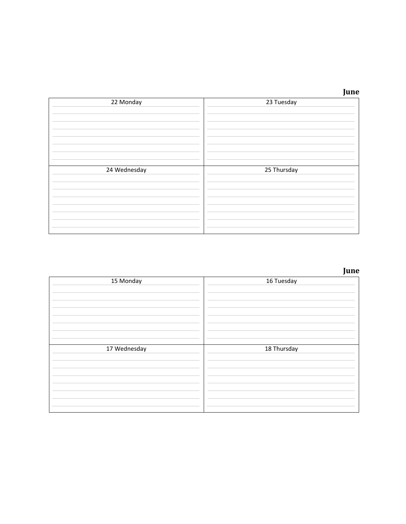|              | June        |
|--------------|-------------|
| 22 Monday    | 23 Tuesday  |
|              |             |
|              |             |
|              |             |
|              |             |
|              |             |
|              |             |
| 24 Wednesday | 25 Thursday |
|              |             |
|              |             |
|              |             |
|              |             |
|              |             |
|              |             |
|              |             |

#### *June June*

| 15 Monday    | 16 Tuesday  |
|--------------|-------------|
| 17 Wednesday | 18 Thursday |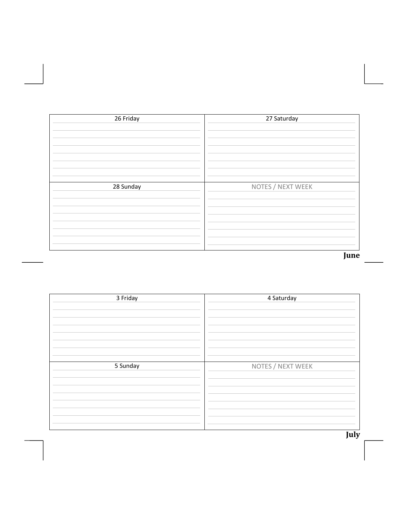| 26 Friday | 27 Saturday       |
|-----------|-------------------|
|           |                   |
|           |                   |
|           |                   |
|           |                   |
|           |                   |
|           |                   |
| 28 Sunday | NOTES / NEXT WEEK |
|           |                   |
|           |                   |
|           |                   |
|           |                   |
|           |                   |
|           |                   |
|           | June              |

| 3 Friday | 4 Saturday        |
|----------|-------------------|
| 5 Sunday | NOTES / NEXT WEEK |

**July**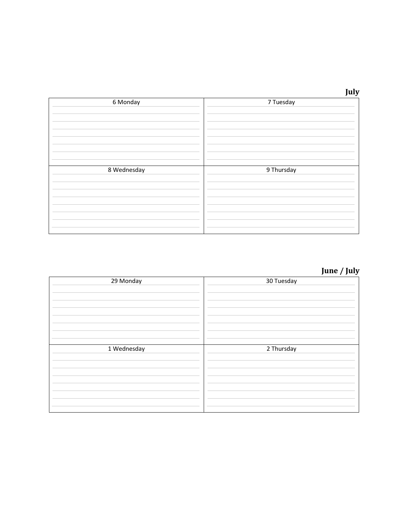

|             | July       |
|-------------|------------|
| 6 Monday    | 7 Tuesday  |
|             |            |
|             |            |
|             |            |
|             |            |
|             |            |
|             |            |
|             |            |
| 8 Wednesday | 9 Thursday |
|             |            |
|             |            |
|             |            |
|             |            |
|             |            |
|             |            |
|             |            |

# **June / July**

| 29 Monday   | 30 Tuesday |
|-------------|------------|
| 1 Wednesday | 2 Thursday |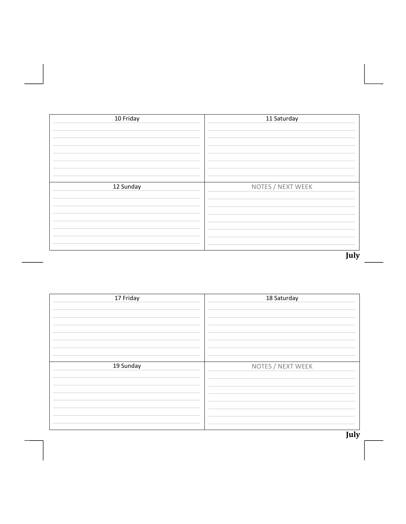| 10 Friday | 11 Saturday       |
|-----------|-------------------|
|           |                   |
|           |                   |
|           |                   |
|           |                   |
|           |                   |
|           |                   |
|           |                   |
|           |                   |
|           |                   |
| 12 Sunday | NOTES / NEXT WEEK |
|           |                   |
|           |                   |
|           |                   |
|           |                   |
|           |                   |
|           |                   |
|           |                   |
|           |                   |
|           |                   |
|           | July              |

| 17 Friday | 18 Saturday       |
|-----------|-------------------|
| 19 Sunday | NOTES / NEXT WEEK |

**July**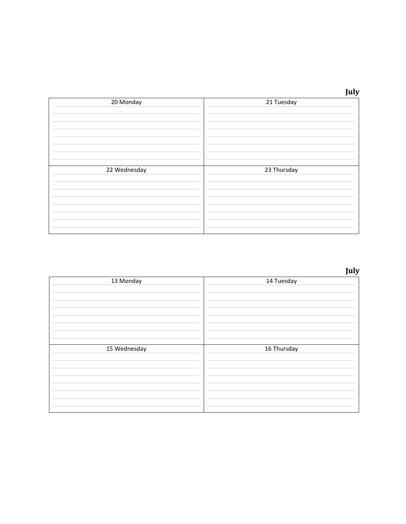|            | $L_{\rm H}$<br>Tuly |
|------------|---------------------|
| 21 Tuesday |                     |

| 20 Monday    | 21 Tuesday  |
|--------------|-------------|
| 22 Wednesday | 23 Thursday |

**July**

| 13 Monday    | 14 Tuesday  |
|--------------|-------------|
| 15 Wednesday | 16 Thursday |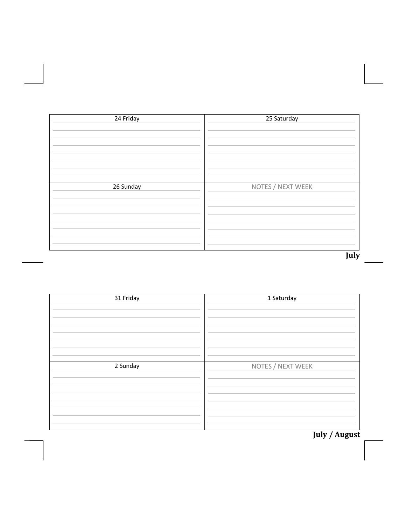| 24 Friday | 25 Saturday       |
|-----------|-------------------|
|           |                   |
|           |                   |
|           |                   |
|           |                   |
|           |                   |
| 26 Sunday | NOTES / NEXT WEEK |
|           |                   |
|           |                   |
|           |                   |
|           |                   |
|           |                   |
|           |                   |
|           | July              |

| 31 Friday | 1 Saturday        |
|-----------|-------------------|
| 2 Sunday  | NOTES / NEXT WEEK |

**July / August**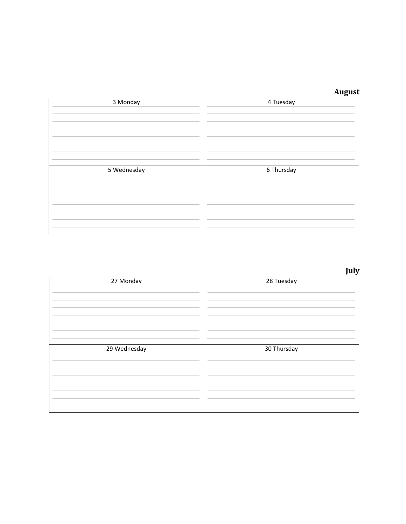| 3 Monday    | 4 Tuesday  |
|-------------|------------|
| 5 Wednesday | 6 Thursday |

**July**

| 27 Monday    | 28 Tuesday  |
|--------------|-------------|
| 29 Wednesday | 30 Thursday |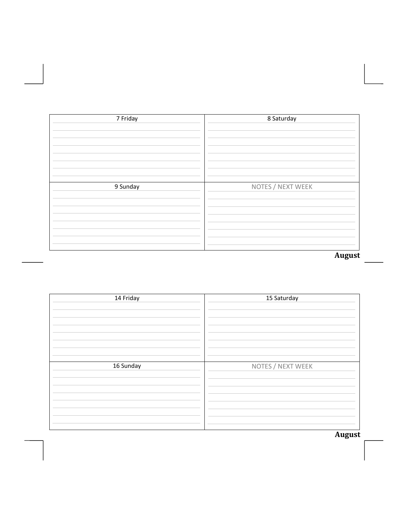| 7 Friday | 8 Saturday        |
|----------|-------------------|
|          |                   |
|          |                   |
|          |                   |
|          |                   |
|          |                   |
|          |                   |
| 9 Sunday | NOTES / NEXT WEEK |
|          |                   |
|          |                   |
|          |                   |
|          |                   |
|          |                   |
|          |                   |
|          | <b>August</b>     |

| 14 Friday | 15 Saturday       |
|-----------|-------------------|
| 16 Sunday | NOTES / NEXT WEEK |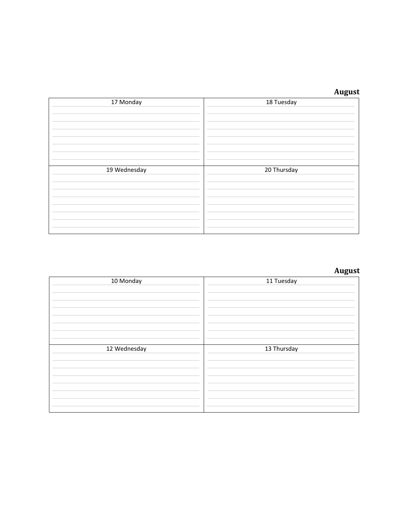| 17 Monday    | 18 Tuesday  |
|--------------|-------------|
| 19 Wednesday | 20 Thursday |

| 10 Monday    | 11 Tuesday  |
|--------------|-------------|
| 12 Wednesday | 13 Thursday |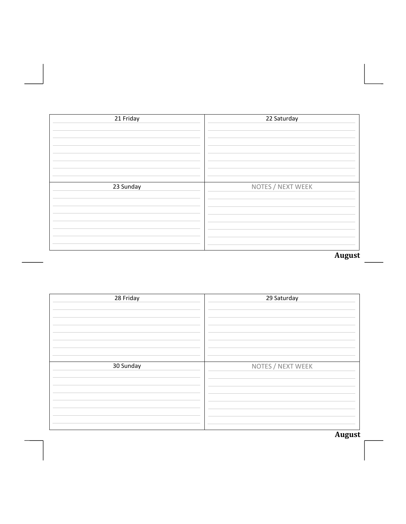| 21 Friday | 22 Saturday       |
|-----------|-------------------|
|           |                   |
|           |                   |
|           |                   |
|           |                   |
|           |                   |
|           |                   |
| 23 Sunday | NOTES / NEXT WEEK |
|           |                   |
|           |                   |
|           |                   |
|           |                   |
|           |                   |
|           |                   |
|           | <b>August</b>     |

| 28 Friday | 29 Saturday       |
|-----------|-------------------|
| 30 Sunday | NOTES / NEXT WEEK |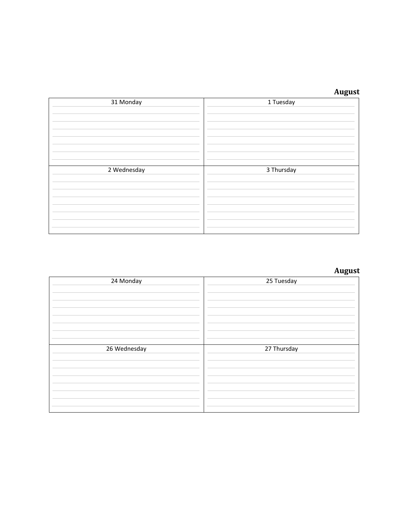| 31 Monday   | 1 Tuesday  |
|-------------|------------|
| 2 Wednesday | 3 Thursday |

| 24 Monday    | 25 Tuesday  |
|--------------|-------------|
| 26 Wednesday | 27 Thursday |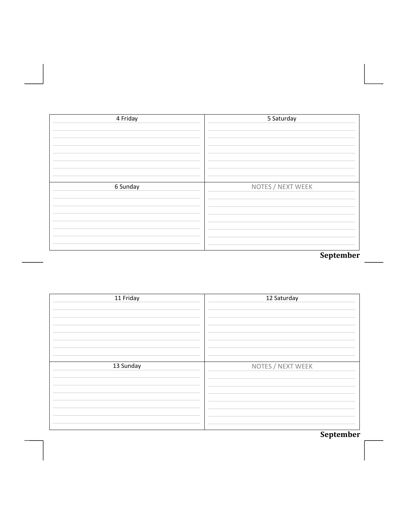| 4 Friday | 5 Saturday        |
|----------|-------------------|
|          |                   |
|          |                   |
|          |                   |
|          |                   |
|          |                   |
| 6 Sunday | NOTES / NEXT WEEK |
|          |                   |
|          |                   |
|          |                   |
|          |                   |
|          |                   |
|          | September         |

| 11 Friday | 12 Saturday       |
|-----------|-------------------|
| 13 Sunday | NOTES / NEXT WEEK |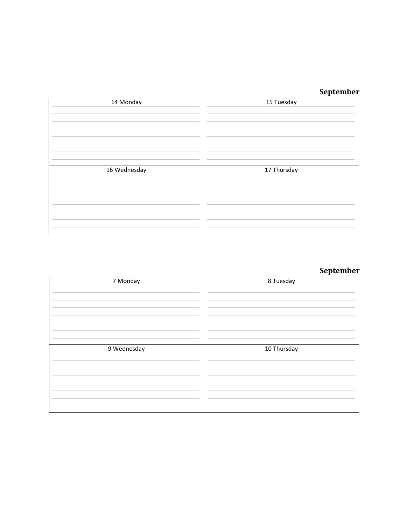# **September**

| 14 Monday    | 15 Tuesday  |
|--------------|-------------|
| 16 Wednesday | 17 Thursday |

| 7 Monday    | 8 Tuesday   |
|-------------|-------------|
|             |             |
| 9 Wednesday | 10 Thursday |
|             |             |
|             |             |
|             |             |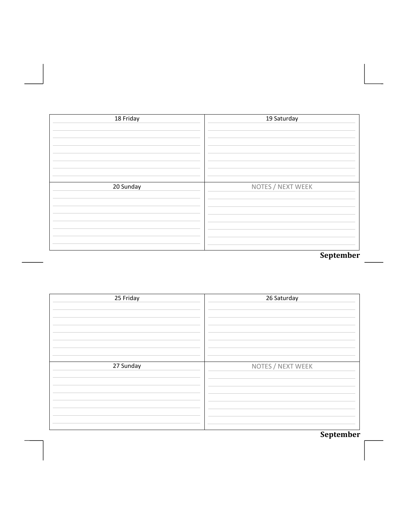| 18 Friday | 19 Saturday       |
|-----------|-------------------|
|           |                   |
|           |                   |
|           |                   |
|           |                   |
|           |                   |
|           |                   |
| 20 Sunday | NOTES / NEXT WEEK |
|           |                   |
|           |                   |
|           |                   |
|           |                   |
|           |                   |
|           | September         |

| 25 Friday | 26 Saturday       |
|-----------|-------------------|
| 27 Sunday | NOTES / NEXT WEEK |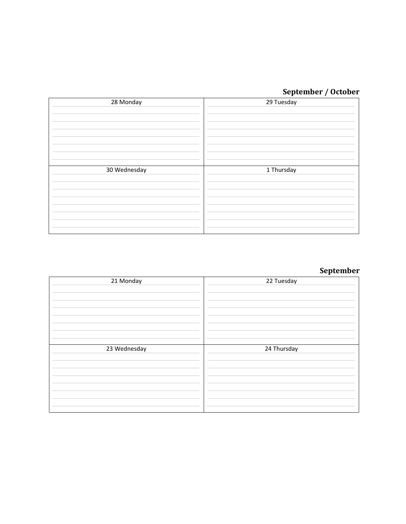# **September / October**

| 28 Monday    | 29 Tuesday |
|--------------|------------|
| 30 Wednesday | 1 Thursday |

| 21 Monday    | 22 Tuesday  |
|--------------|-------------|
| 23 Wednesday | 24 Thursday |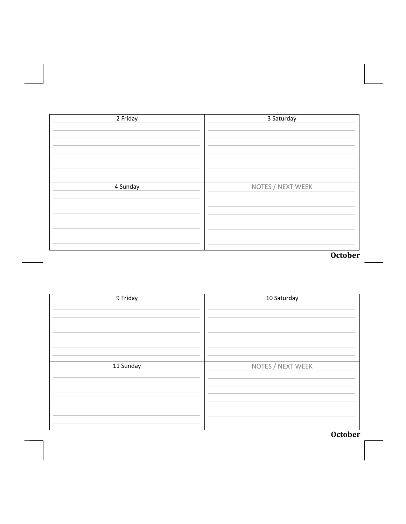| 2 Friday | 3 Saturday        |
|----------|-------------------|
|          |                   |
|          |                   |
|          |                   |
|          |                   |
|          |                   |
| 4 Sunday | NOTES / NEXT WEEK |
|          |                   |
|          |                   |
|          |                   |
|          |                   |
|          |                   |
|          | <b>October</b>    |

| 9 Friday  | 10 Saturday       |
|-----------|-------------------|
| 11 Sunday | NOTES / NEXT WEEK |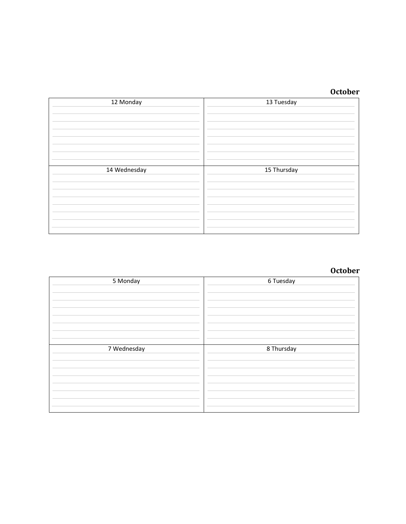| 12 Monday    | 13 Tuesday  |
|--------------|-------------|
| 14 Wednesday | 15 Thursday |

| 5 Monday    | 6 Tuesday  |
|-------------|------------|
| 7 Wednesday | 8 Thursday |
|             |            |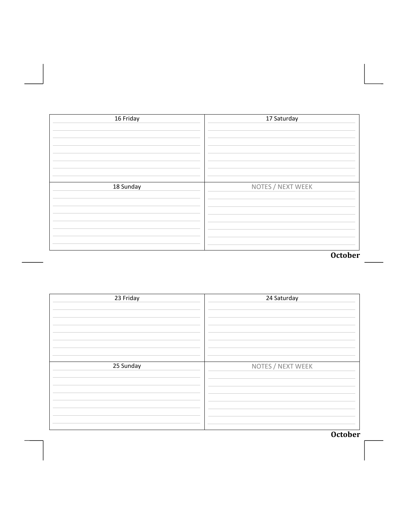| 16 Friday | 17 Saturday       |
|-----------|-------------------|
|           |                   |
|           |                   |
|           |                   |
|           |                   |
| 18 Sunday | NOTES / NEXT WEEK |
|           |                   |
|           |                   |
|           |                   |
|           |                   |
|           |                   |
|           | October           |

| 23 Friday | 24 Saturday       |
|-----------|-------------------|
| 25 Sunday | NOTES / NEXT WEEK |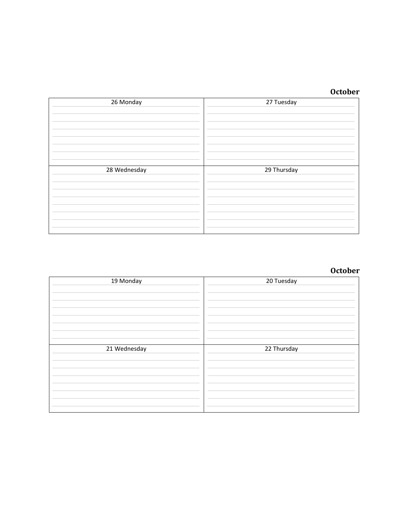| 26 Monday    | 27 Tuesday  |
|--------------|-------------|
| 28 Wednesday | 29 Thursday |

| 19 Monday    | 20 Tuesday  |
|--------------|-------------|
| 21 Wednesday | 22 Thursday |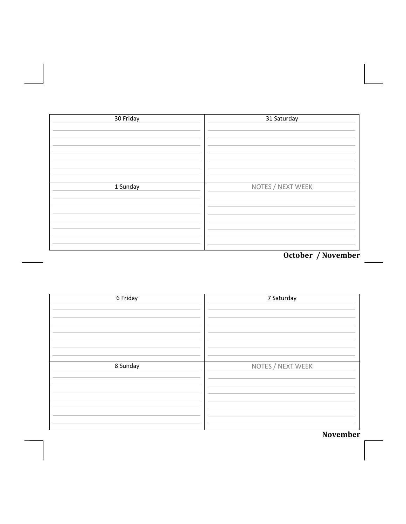| 30 Friday | 31 Saturday                                            |
|-----------|--------------------------------------------------------|
|           |                                                        |
|           |                                                        |
|           |                                                        |
|           |                                                        |
| 1 Sunday  | NOTES / NEXT WEEK                                      |
|           |                                                        |
|           |                                                        |
|           |                                                        |
|           | $Q_{\text{obs}}$ $I_{\text{max}}$ $I_{\text{Maxical}}$ |

October / November

| 6 Friday | 7 Saturday                                        |
|----------|---------------------------------------------------|
| 8 Sunday | NOTES / NEXT WEEK<br>$\mathbf{v}$<br>$\mathbf{r}$ |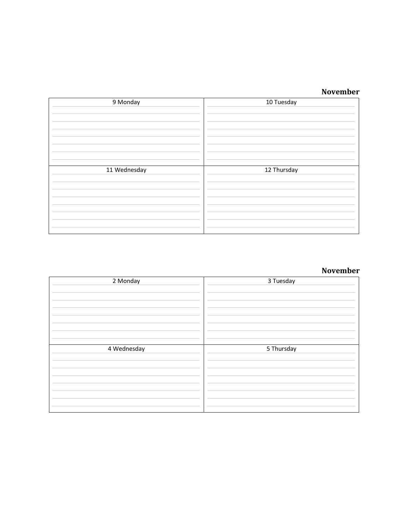#### **November**

| 9 Monday     | 10 Tuesday  |
|--------------|-------------|
| 11 Wednesday | 12 Thursday |

| 2 Monday    | 3 Tuesday  |
|-------------|------------|
| 4 Wednesday | 5 Thursday |
|             |            |
|             |            |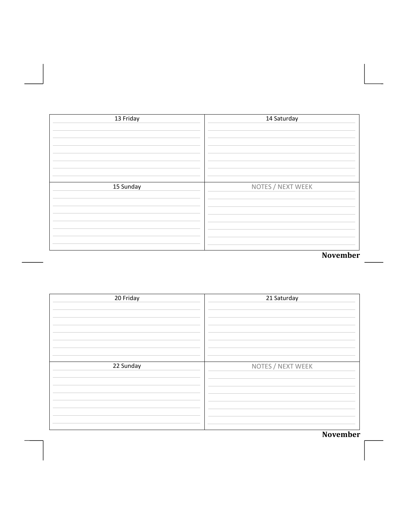| 13 Friday | 14 Saturday       |
|-----------|-------------------|
|           |                   |
|           |                   |
|           |                   |
|           |                   |
|           |                   |
| 15 Sunday | NOTES / NEXT WEEK |
|           |                   |
|           |                   |
|           |                   |
|           |                   |
|           |                   |
|           | November          |

| 20 Friday | 21 Saturday       |
|-----------|-------------------|
| 22 Sunday | NOTES / NEXT WEEK |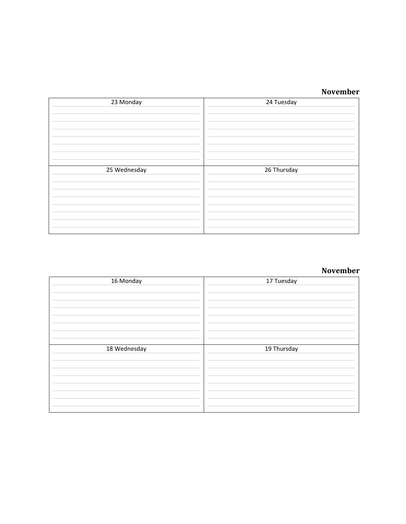#### **November**

| 23 Monday    | 24 Tuesday  |
|--------------|-------------|
| 25 Wednesday | 26 Thursday |

| 16 Monday    | 17 Tuesday  |
|--------------|-------------|
| 18 Wednesday | 19 Thursday |
|              |             |
|              |             |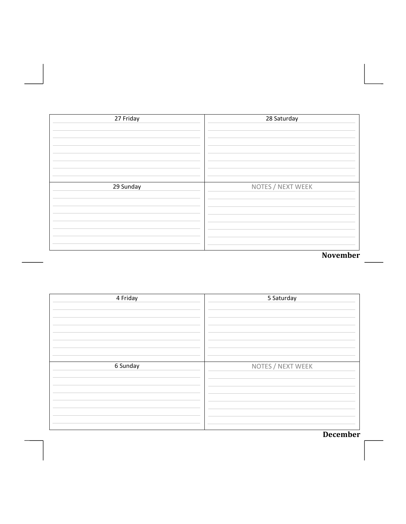| 27 Friday | 28 Saturday       |
|-----------|-------------------|
|           |                   |
|           |                   |
|           |                   |
|           |                   |
|           |                   |
|           |                   |
| 29 Sunday | NOTES / NEXT WEEK |
|           |                   |
|           |                   |
|           |                   |
|           |                   |
|           |                   |
|           |                   |
|           | November          |

| 4 Friday | 5 Saturday        |
|----------|-------------------|
| 6 Sunday | NOTES / NEXT WEEK |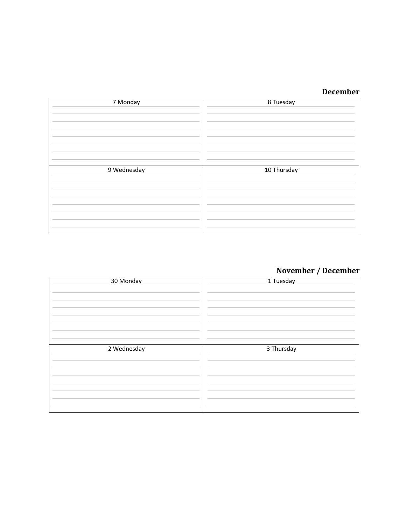| 7 Monday    | 8 Tuesday   |
|-------------|-------------|
| 9 Wednesday | 10 Thursday |

# **November / December**

| 30 Monday   | 1 Tuesday  |
|-------------|------------|
| 2 Wednesday | 3 Thursday |
|             |            |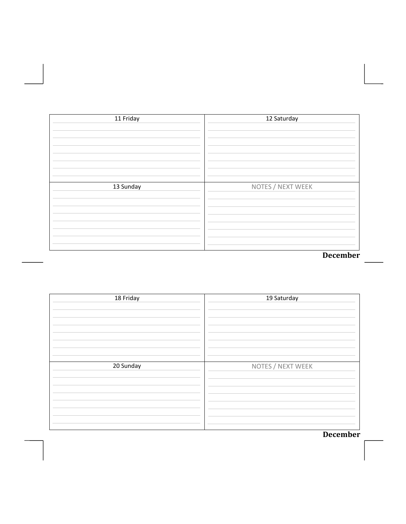| 11 Friday | 12 Saturday       |
|-----------|-------------------|
|           |                   |
|           |                   |
|           |                   |
|           |                   |
|           |                   |
| 13 Sunday | NOTES / NEXT WEEK |
|           |                   |
|           |                   |
|           |                   |
|           |                   |
|           |                   |
|           | December          |

| 18 Friday | 19 Saturday       |
|-----------|-------------------|
| 20 Sunday | NOTES / NEXT WEEK |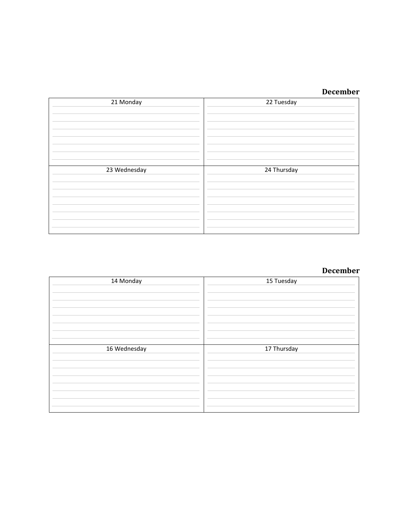| 21 Monday    | 22 Tuesday  |
|--------------|-------------|
| 23 Wednesday | 24 Thursday |

#### **December**

| 14 Monday    | 15 Tuesday  |
|--------------|-------------|
| 16 Wednesday | 17 Thursday |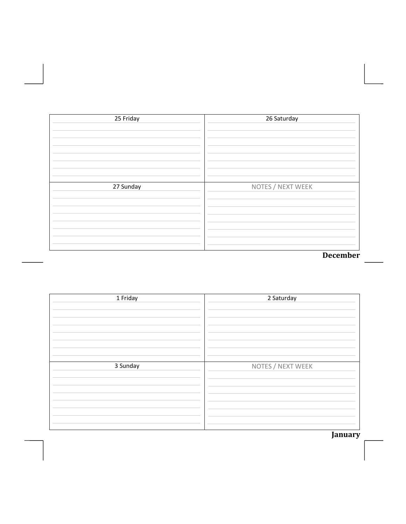| 25 Friday | 26 Saturday       |
|-----------|-------------------|
|           |                   |
|           |                   |
|           |                   |
|           |                   |
|           |                   |
| 27 Sunday | NOTES / NEXT WEEK |
|           |                   |
|           |                   |
|           |                   |
|           |                   |
|           |                   |
|           | December          |

| 1 Friday | 2 Saturday        |
|----------|-------------------|
| 3 Sunday | NOTES / NEXT WEEK |